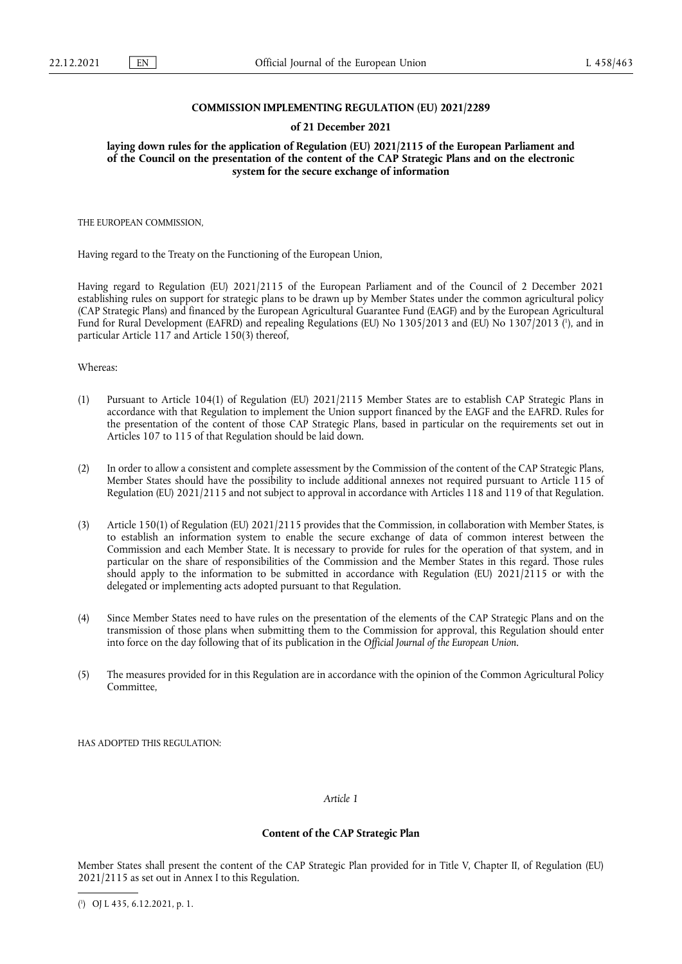# **COMMISSION IMPLEMENTING REGULATION (EU) 2021/2289**

### **of 21 December 2021**

**laying down rules for the application of Regulation (EU) 2021/2115 of the European Parliament and of the Council on the presentation of the content of the CAP Strategic Plans and on the electronic system for the secure exchange of information** 

THE EUROPEAN COMMISSION,

Having regard to the Treaty on the Functioning of the European Union,

<span id="page-0-1"></span>Having regard to Regulation (EU) 2021/2115 of the European Parliament and of the Council of 2 December 2021 establishing rules on support for strategic plans to be drawn up by Member States under the common agricultural policy (CAP Strategic Plans) and financed by the European Agricultural Guarantee Fund (EAGF) and by the European Agricultural Fund for Rural Development (EAFRD) and repealing Regulations (EU) No 1305/2013 and (EU) No 1307/2013 [\(](#page-0-0) 1 ), and in particular Article 117 and Article 150(3) thereof,

Whereas:

- (1) Pursuant to Article 104(1) of Regulation (EU) 2021/2115 Member States are to establish CAP Strategic Plans in accordance with that Regulation to implement the Union support financed by the EAGF and the EAFRD. Rules for the presentation of the content of those CAP Strategic Plans, based in particular on the requirements set out in Articles 107 to 115 of that Regulation should be laid down.
- (2) In order to allow a consistent and complete assessment by the Commission of the content of the CAP Strategic Plans, Member States should have the possibility to include additional annexes not required pursuant to Article 115 of Regulation (EU) 2021/2115 and not subject to approval in accordance with Articles 118 and 119 of that Regulation.
- (3) Article 150(1) of Regulation (EU) 2021/2115 provides that the Commission, in collaboration with Member States, is to establish an information system to enable the secure exchange of data of common interest between the Commission and each Member State. It is necessary to provide for rules for the operation of that system, and in particular on the share of responsibilities of the Commission and the Member States in this regard. Those rules should apply to the information to be submitted in accordance with Regulation (EU) 2021/2115 or with the delegated or implementing acts adopted pursuant to that Regulation.
- (4) Since Member States need to have rules on the presentation of the elements of the CAP Strategic Plans and on the transmission of those plans when submitting them to the Commission for approval, this Regulation should enter into force on the day following that of its publication in the *Official Journal of the European Union*.
- (5) The measures provided for in this Regulation are in accordance with the opinion of the Common Agricultural Policy Committee,

HAS ADOPTED THIS REGULATION:

*Article 1*

# **Content of the CAP Strategic Plan**

Member States shall present the content of the CAP Strategic Plan provided for in Title V, Chapter II, of Regulation (EU) 2021/2115 as set out in Annex I to this Regulation.

<span id="page-0-0"></span>[<sup>\(</sup>](#page-0-1) 1 ) OJ L 435, 6.12.2021, p. 1.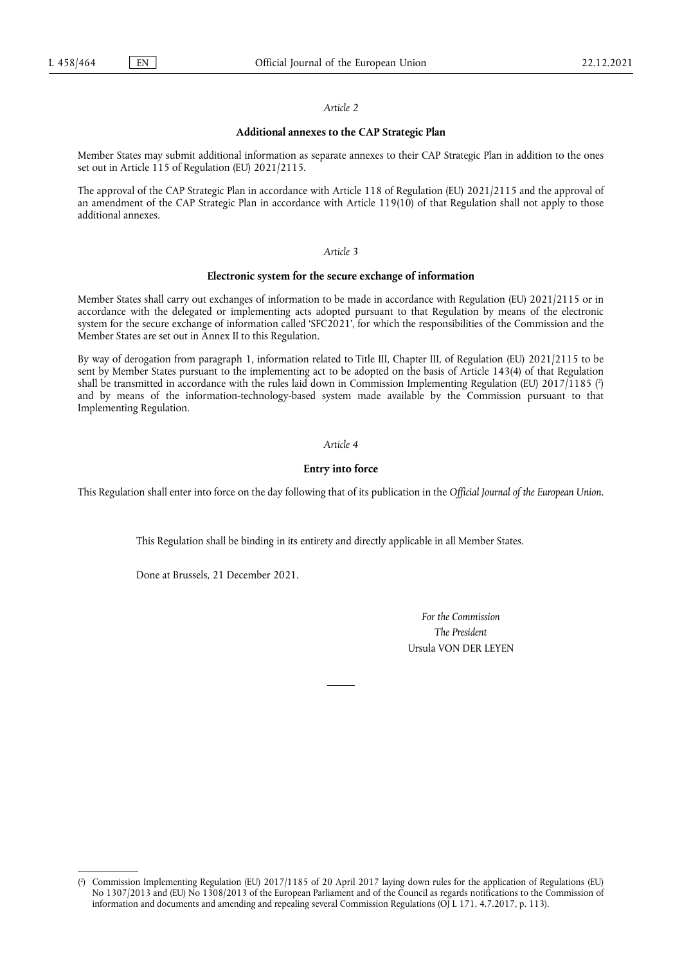#### *Article 2*

# **Additional annexes to the CAP Strategic Plan**

Member States may submit additional information as separate annexes to their CAP Strategic Plan in addition to the ones set out in Article 115 of Regulation (EU) 2021/2115.

The approval of the CAP Strategic Plan in accordance with Article 118 of Regulation (EU) 2021/2115 and the approval of an amendment of the CAP Strategic Plan in accordance with Article 119(10) of that Regulation shall not apply to those additional annexes.

## *Article 3*

#### **Electronic system for the secure exchange of information**

Member States shall carry out exchanges of information to be made in accordance with Regulation (EU) 2021/2115 or in accordance with the delegated or implementing acts adopted pursuant to that Regulation by means of the electronic system for the secure exchange of information called 'SFC2021', for which the responsibilities of the Commission and the Member States are set out in Annex II to this Regulation.

<span id="page-1-1"></span>By way of derogation from paragraph 1, information related to Title III, Chapter III, of Regulation (EU) 2021/2115 to be sent by Member States pursuant to the implementing act to be adopted on the basis of Article 143(4) of that Regulation shall be transmitted in accordance with the rules laid down in Commission Implementing Regulation (EU) 2017/1185 [\(](#page-1-0) 2 ) and by means of the information-technology-based system made available by the Commission pursuant to that Implementing Regulation.

# *Article 4*

# **Entry into force**

This Regulation shall enter into force on the day following that of its publication in the *Official Journal of the European Union*.

This Regulation shall be binding in its entirety and directly applicable in all Member States.

Done at Brussels, 21 December 2021.

*For the Commission The President* Ursula VON DER LEYEN

<span id="page-1-0"></span> $(2)$  $(2)$ ) Commission Implementing Regulation (EU) 2017/1185 of 20 April 2017 laying down rules for the application of Regulations (EU) No 1307/2013 and (EU) No 1308/2013 of the European Parliament and of the Council as regards notifications to the Commission of information and documents and amending and repealing several Commission Regulations (OJ L 171, 4.7.2017, p. 113).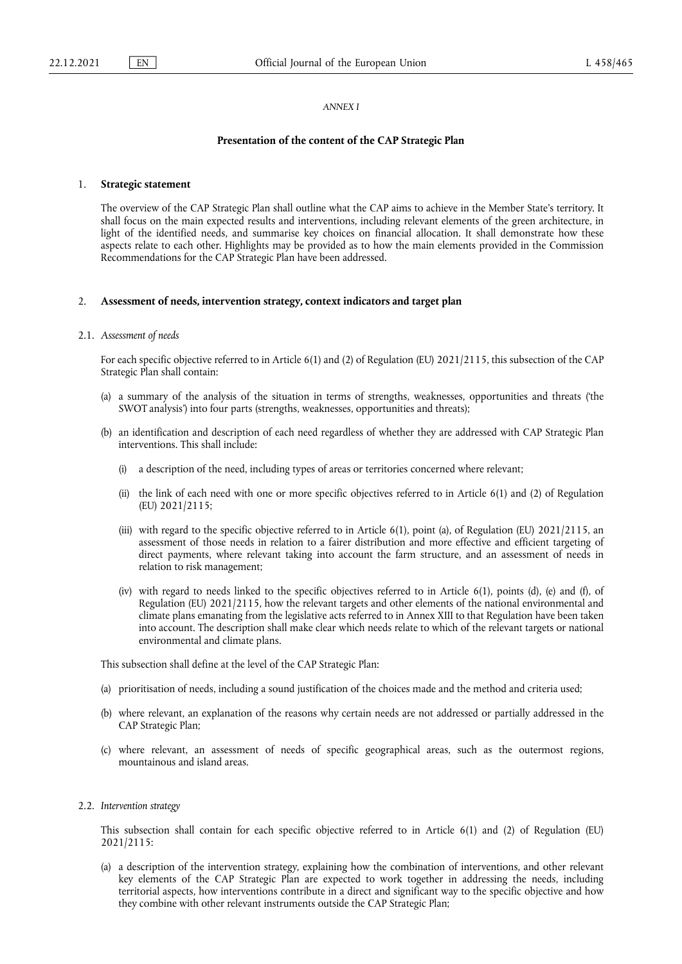#### *ANNEX I*

#### **Presentation of the content of the CAP Strategic Plan**

### 1. **Strategic statement**

The overview of the CAP Strategic Plan shall outline what the CAP aims to achieve in the Member State's territory. It shall focus on the main expected results and interventions, including relevant elements of the green architecture, in light of the identified needs, and summarise key choices on financial allocation. It shall demonstrate how these aspects relate to each other. Highlights may be provided as to how the main elements provided in the Commission Recommendations for the CAP Strategic Plan have been addressed.

#### 2. **Assessment of needs, intervention strategy, context indicators and target plan**

#### 2.1. *Assessment of needs*

For each specific objective referred to in Article 6(1) and (2) of Regulation (EU) 2021/2115, this subsection of the CAP Strategic Plan shall contain:

- (a) a summary of the analysis of the situation in terms of strengths, weaknesses, opportunities and threats ('the SWOT analysis') into four parts (strengths, weaknesses, opportunities and threats);
- (b) an identification and description of each need regardless of whether they are addressed with CAP Strategic Plan interventions. This shall include:
	- (i) a description of the need, including types of areas or territories concerned where relevant;
	- (ii) the link of each need with one or more specific objectives referred to in Article 6(1) and (2) of Regulation (EU) 2021/2115;
	- (iii) with regard to the specific objective referred to in Article 6(1), point (a), of Regulation (EU) 2021/2115, an assessment of those needs in relation to a fairer distribution and more effective and efficient targeting of direct payments, where relevant taking into account the farm structure, and an assessment of needs in relation to risk management;
	- (iv) with regard to needs linked to the specific objectives referred to in Article 6(1), points (d), (e) and (f), of Regulation (EU) 2021/2115, how the relevant targets and other elements of the national environmental and climate plans emanating from the legislative acts referred to in Annex XIII to that Regulation have been taken into account. The description shall make clear which needs relate to which of the relevant targets or national environmental and climate plans.

This subsection shall define at the level of the CAP Strategic Plan:

- (a) prioritisation of needs, including a sound justification of the choices made and the method and criteria used;
- (b) where relevant, an explanation of the reasons why certain needs are not addressed or partially addressed in the CAP Strategic Plan;
- (c) where relevant, an assessment of needs of specific geographical areas, such as the outermost regions, mountainous and island areas.
- 2.2. *Intervention strategy*

This subsection shall contain for each specific objective referred to in Article 6(1) and (2) of Regulation (EU) 2021/2115:

(a) a description of the intervention strategy, explaining how the combination of interventions, and other relevant key elements of the CAP Strategic Plan are expected to work together in addressing the needs, including territorial aspects, how interventions contribute in a direct and significant way to the specific objective and how they combine with other relevant instruments outside the CAP Strategic Plan;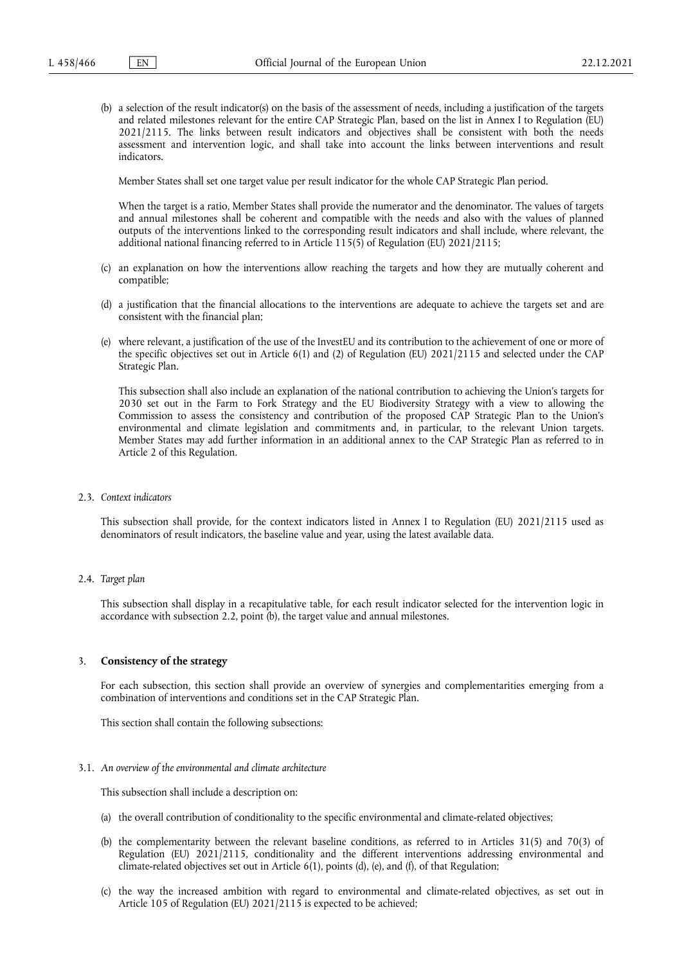(b) a selection of the result indicator(s) on the basis of the assessment of needs, including a justification of the targets and related milestones relevant for the entire CAP Strategic Plan, based on the list in Annex I to Regulation (EU) 2021/2115. The links between result indicators and objectives shall be consistent with both the needs assessment and intervention logic, and shall take into account the links between interventions and result indicators.

Member States shall set one target value per result indicator for the whole CAP Strategic Plan period.

When the target is a ratio, Member States shall provide the numerator and the denominator. The values of targets and annual milestones shall be coherent and compatible with the needs and also with the values of planned outputs of the interventions linked to the corresponding result indicators and shall include, where relevant, the additional national financing referred to in Article 115(5) of Regulation (EU) 2021/2115;

- (c) an explanation on how the interventions allow reaching the targets and how they are mutually coherent and compatible;
- (d) a justification that the financial allocations to the interventions are adequate to achieve the targets set and are consistent with the financial plan;
- (e) where relevant, a justification of the use of the InvestEU and its contribution to the achievement of one or more of the specific objectives set out in Article 6(1) and (2) of Regulation (EU) 2021/2115 and selected under the CAP Strategic Plan.

This subsection shall also include an explanation of the national contribution to achieving the Union's targets for 2030 set out in the Farm to Fork Strategy and the EU Biodiversity Strategy with a view to allowing the Commission to assess the consistency and contribution of the proposed CAP Strategic Plan to the Union's environmental and climate legislation and commitments and, in particular, to the relevant Union targets. Member States may add further information in an additional annex to the CAP Strategic Plan as referred to in Article 2 of this Regulation.

2.3. *Context indicators*

This subsection shall provide, for the context indicators listed in Annex I to Regulation (EU) 2021/2115 used as denominators of result indicators, the baseline value and year, using the latest available data.

2.4. *Target plan*

This subsection shall display in a recapitulative table, for each result indicator selected for the intervention logic in accordance with subsection 2.2, point (b), the target value and annual milestones.

## 3. **Consistency of the strategy**

For each subsection, this section shall provide an overview of synergies and complementarities emerging from a combination of interventions and conditions set in the CAP Strategic Plan.

This section shall contain the following subsections:

## 3.1. *An overview of the environmental and climate architecture*

This subsection shall include a description on:

- (a) the overall contribution of conditionality to the specific environmental and climate-related objectives;
- (b) the complementarity between the relevant baseline conditions, as referred to in Articles 31(5) and 70(3) of Regulation (EU) 2021/2115, conditionality and the different interventions addressing environmental and climate-related objectives set out in Article 6(1), points (d), (e), and (f), of that Regulation;
- (c) the way the increased ambition with regard to environmental and climate-related objectives, as set out in Article 105 of Regulation (EU) 2021/2115 is expected to be achieved;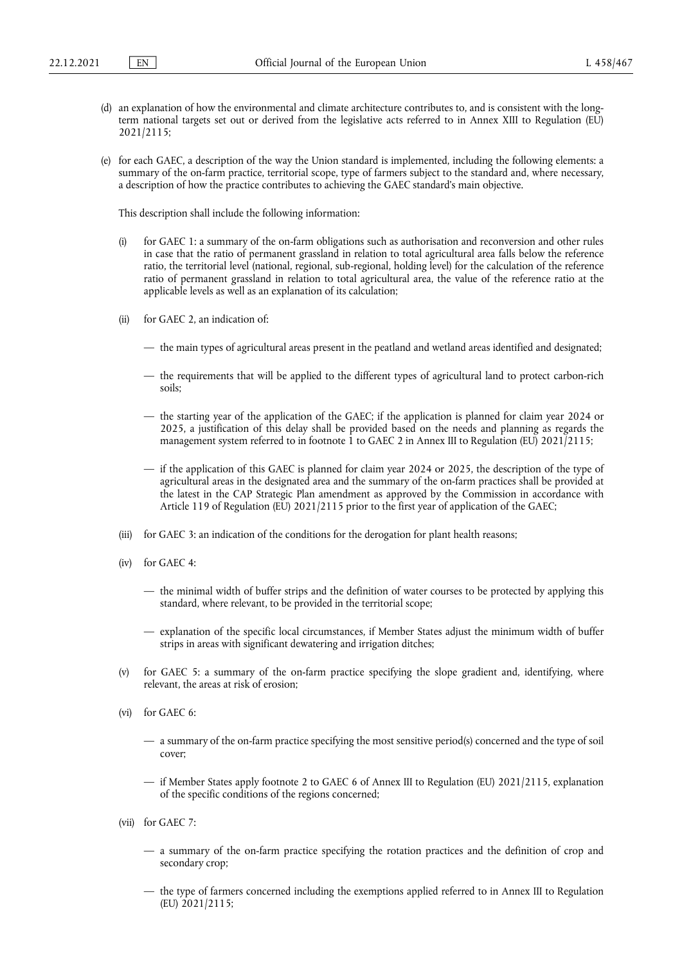- (d) an explanation of how the environmental and climate architecture contributes to, and is consistent with the longterm national targets set out or derived from the legislative acts referred to in Annex XIII to Regulation (EU) 2021/2115;
- (e) for each GAEC, a description of the way the Union standard is implemented, including the following elements: a summary of the on-farm practice, territorial scope, type of farmers subject to the standard and, where necessary, a description of how the practice contributes to achieving the GAEC standard's main objective.

This description shall include the following information:

- (i) for GAEC 1: a summary of the on-farm obligations such as authorisation and reconversion and other rules in case that the ratio of permanent grassland in relation to total agricultural area falls below the reference ratio, the territorial level (national, regional, sub-regional, holding level) for the calculation of the reference ratio of permanent grassland in relation to total agricultural area, the value of the reference ratio at the applicable levels as well as an explanation of its calculation;
- (ii) for GAEC 2, an indication of:
	- the main types of agricultural areas present in the peatland and wetland areas identified and designated;
	- the requirements that will be applied to the different types of agricultural land to protect carbon-rich soils;
	- the starting year of the application of the GAEC; if the application is planned for claim year 2024 or 2025, a justification of this delay shall be provided based on the needs and planning as regards the management system referred to in footnote 1 to GAEC 2 in Annex III to Regulation (EU) 2021/2115;
	- if the application of this GAEC is planned for claim year 2024 or 2025, the description of the type of agricultural areas in the designated area and the summary of the on-farm practices shall be provided at the latest in the CAP Strategic Plan amendment as approved by the Commission in accordance with Article 119 of Regulation (EU) 2021/2115 prior to the first year of application of the GAEC;
- (iii) for GAEC 3: an indication of the conditions for the derogation for plant health reasons;
- (iv) for GAEC 4:
	- the minimal width of buffer strips and the definition of water courses to be protected by applying this standard, where relevant, to be provided in the territorial scope;
	- explanation of the specific local circumstances, if Member States adjust the minimum width of buffer strips in areas with significant dewatering and irrigation ditches;
- (v) for GAEC 5: a summary of the on-farm practice specifying the slope gradient and, identifying, where relevant, the areas at risk of erosion;
- (vi) for GAEC 6:
	- a summary of the on-farm practice specifying the most sensitive period(s) concerned and the type of soil cover;
	- if Member States apply footnote 2 to GAEC 6 of Annex III to Regulation (EU) 2021/2115, explanation of the specific conditions of the regions concerned;
- (vii) for GAEC 7:
	- a summary of the on-farm practice specifying the rotation practices and the definition of crop and secondary crop;
	- the type of farmers concerned including the exemptions applied referred to in Annex III to Regulation (EU) 2021/2115;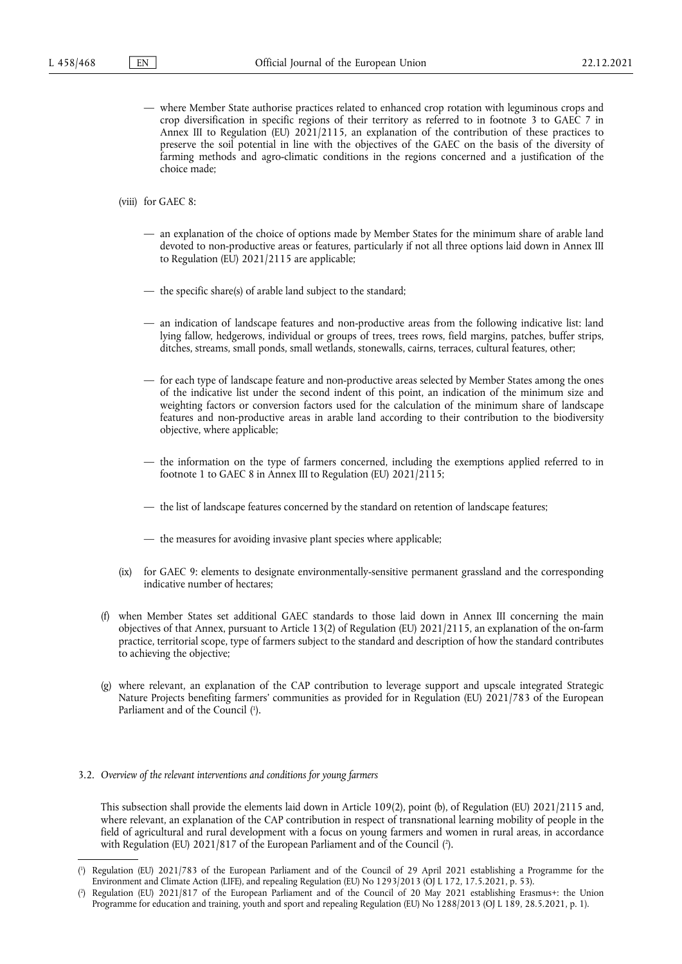- where Member State authorise practices related to enhanced crop rotation with leguminous crops and crop diversification in specific regions of their territory as referred to in footnote 3 to GAEC 7 in Annex III to Regulation (EU) 2021/2115, an explanation of the contribution of these practices to preserve the soil potential in line with the objectives of the GAEC on the basis of the diversity of farming methods and agro-climatic conditions in the regions concerned and a justification of the choice made;
- (viii) for GAEC 8:
	- an explanation of the choice of options made by Member States for the minimum share of arable land devoted to non-productive areas or features, particularly if not all three options laid down in Annex III to Regulation (EU) 2021/2115 are applicable;
	- the specific share(s) of arable land subject to the standard;
	- an indication of landscape features and non-productive areas from the following indicative list: land lying fallow, hedgerows, individual or groups of trees, trees rows, field margins, patches, buffer strips, ditches, streams, small ponds, small wetlands, stonewalls, cairns, terraces, cultural features, other;
	- for each type of landscape feature and non-productive areas selected by Member States among the ones of the indicative list under the second indent of this point, an indication of the minimum size and weighting factors or conversion factors used for the calculation of the minimum share of landscape features and non-productive areas in arable land according to their contribution to the biodiversity objective, where applicable;
	- the information on the type of farmers concerned, including the exemptions applied referred to in footnote 1 to GAEC 8 in Annex III to Regulation (EU) 2021/2115;
	- the list of landscape features concerned by the standard on retention of landscape features;
	- the measures for avoiding invasive plant species where applicable;
- (ix) for GAEC 9: elements to designate environmentally-sensitive permanent grassland and the corresponding indicative number of hectares;
- (f) when Member States set additional GAEC standards to those laid down in Annex III concerning the main objectives of that Annex, pursuant to Article 13(2) of Regulation (EU) 2021/2115, an explanation of the on-farm practice, territorial scope, type of farmers subject to the standard and description of how the standard contributes to achieving the objective;
- <span id="page-5-2"></span>(g) where relevant, an explanation of the CAP contribution to leverage support and upscale integrated Strategic Nature Projects benefiting farmers' communities as provided for in Regulation (EU) 2021/783 of the European Parliament and of the Council (<sup>1</sup>[\).](#page-5-0)

### 3.2. *Overview of the relevant interventions and conditions for young farmers*

<span id="page-5-3"></span>This subsection shall provide the elements laid down in Article 109(2), point (b), of Regulation (EU) 2021/2115 and, where relevant, an explanation of the CAP contribution in respect of transnational learning mobility of people in the field of agricultural and rural development with a focus on young farmers and women in rural areas, in accordance with Regulation (EU) 2021/817 of the European Parliament and of the Council ( 2 [\).](#page-5-1)

<span id="page-5-0"></span>[<sup>\(</sup>](#page-5-2) 1 ) Regulation (EU) 2021/783 of the European Parliament and of the Council of 29 April 2021 establishing a Programme for the Environment and Climate Action (LIFE), and repealing Regulation (EU) No 1293/2013 (OJ L 172, 17.5.2021, p. 53).

<span id="page-5-1"></span>[<sup>\(</sup>](#page-5-3) 2 ) Regulation (EU) 2021/817 of the European Parliament and of the Council of 20 May 2021 establishing Erasmus+: the Union Programme for education and training, youth and sport and repealing Regulation (EU) No 1288/2013 (OJ L 189, 28.5.2021, p. 1).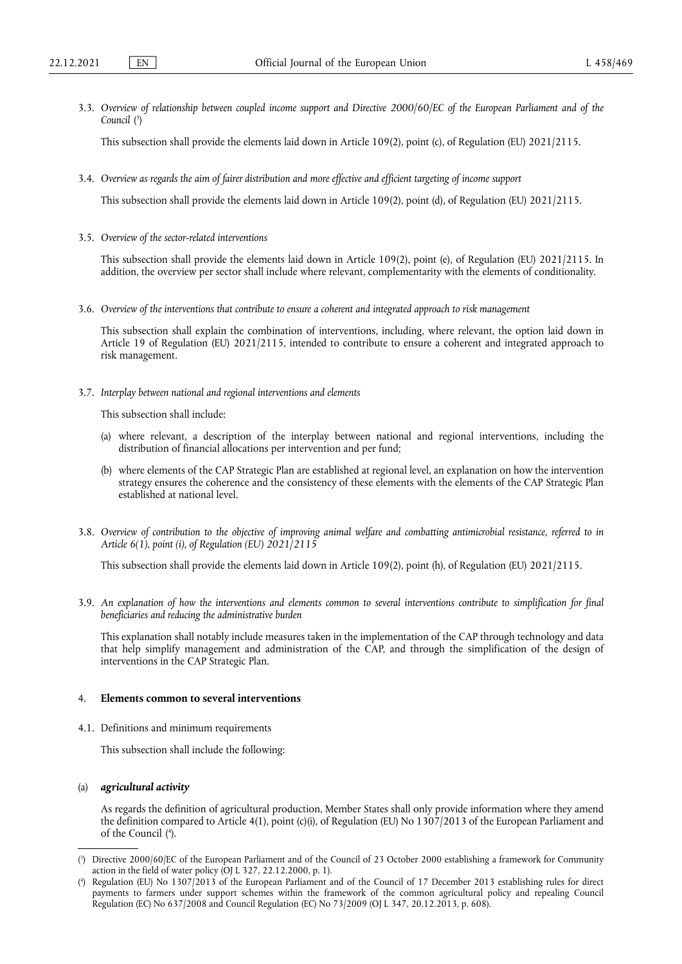<span id="page-6-2"></span>3.3. *Overview of relationship between coupled income support and Directive 2000/60/EC of the European Parliament and of the Council* [\(](#page-6-0) 3 )

This subsection shall provide the elements laid down in Article 109(2), point (c), of Regulation (EU) 2021/2115.

3.4. *Overview as regards the aim of fairer distribution and more effective and efficient targeting of income support*

This subsection shall provide the elements laid down in Article 109(2), point (d), of Regulation (EU) 2021/2115.

3.5. *Overview of the sector-related interventions*

This subsection shall provide the elements laid down in Article 109(2), point (e), of Regulation (EU) 2021/2115. In addition, the overview per sector shall include where relevant, complementarity with the elements of conditionality.

3.6. *Overview of the interventions that contribute to ensure a coherent and integrated approach to risk management*

This subsection shall explain the combination of interventions, including, where relevant, the option laid down in Article 19 of Regulation (EU) 2021/2115, intended to contribute to ensure a coherent and integrated approach to risk management.

3.7. *Interplay between national and regional interventions and elements*

This subsection shall include:

- (a) where relevant, a description of the interplay between national and regional interventions, including the distribution of financial allocations per intervention and per fund;
- (b) where elements of the CAP Strategic Plan are established at regional level, an explanation on how the intervention strategy ensures the coherence and the consistency of these elements with the elements of the CAP Strategic Plan established at national level.
- 3.8. *Overview of contribution to the objective of improving animal welfare and combatting antimicrobial resistance, referred to in Article 6(1), point (i), of Regulation (EU) 2021/2115*

This subsection shall provide the elements laid down in Article 109(2), point (h), of Regulation (EU) 2021/2115.

3.9. *An explanation of how the interventions and elements common to several interventions contribute to simplification for final beneficiaries and reducing the administrative burden*

This explanation shall notably include measures taken in the implementation of the CAP through technology and data that help simplify management and administration of the CAP, and through the simplification of the design of interventions in the CAP Strategic Plan.

# 4. **Elements common to several interventions**

4.1. Definitions and minimum requirements

This subsection shall include the following:

## (a) *agricultural activity*

<span id="page-6-3"></span>As regards the definition of agricultural production, Member States shall only provide information where they amend the definition compared to Article 4(1), point (c)(i), of Regulation (EU) No 1307/2013 of the European Parliament and of the Council ( 4 [\).](#page-6-1)

<span id="page-6-0"></span>[<sup>\(</sup>](#page-6-2) 3 ) Directive 2000/60/EC of the European Parliament and of the Council of 23 October 2000 establishing a framework for Community action in the field of water policy (OJ L 327, 22.12.2000, p. 1).

<span id="page-6-1"></span>[<sup>\(</sup>](#page-6-3) 4 ) Regulation (EU) No 1307/2013 of the European Parliament and of the Council of 17 December 2013 establishing rules for direct payments to farmers under support schemes within the framework of the common agricultural policy and repealing Council Regulation (EC) No 637/2008 and Council Regulation (EC) No 73/2009 (OJ L 347, 20.12.2013, p. 608).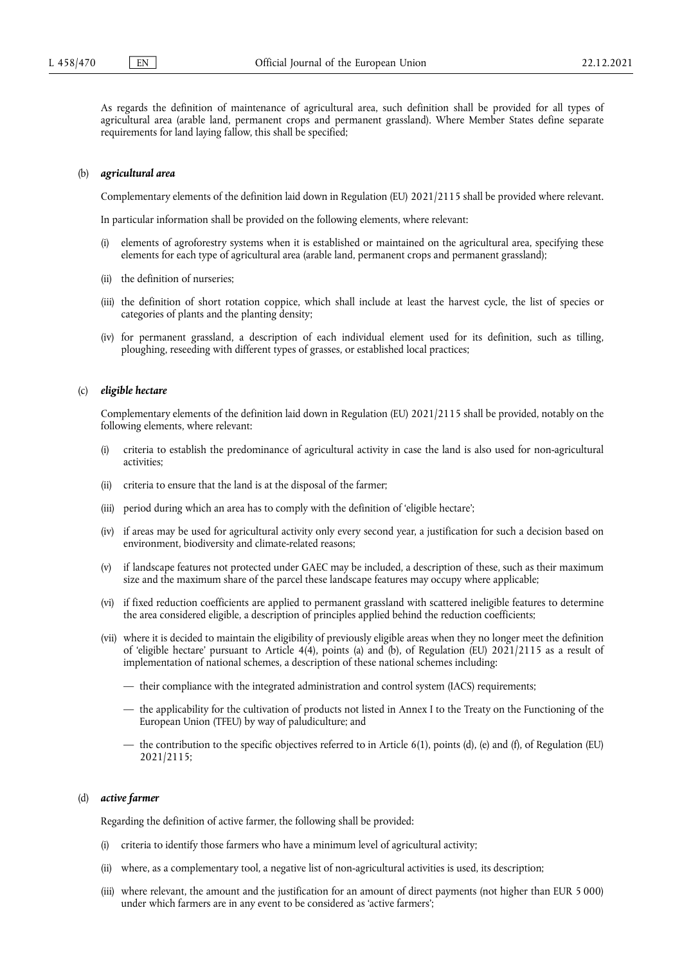As regards the definition of maintenance of agricultural area, such definition shall be provided for all types of agricultural area (arable land, permanent crops and permanent grassland). Where Member States define separate requirements for land laying fallow, this shall be specified;

#### (b) *agricultural area*

Complementary elements of the definition laid down in Regulation (EU) 2021/2115 shall be provided where relevant.

In particular information shall be provided on the following elements, where relevant:

- (i) elements of agroforestry systems when it is established or maintained on the agricultural area, specifying these elements for each type of agricultural area (arable land, permanent crops and permanent grassland);
- (ii) the definition of nurseries;
- (iii) the definition of short rotation coppice, which shall include at least the harvest cycle, the list of species or categories of plants and the planting density;
- (iv) for permanent grassland, a description of each individual element used for its definition, such as tilling, ploughing, reseeding with different types of grasses, or established local practices;

#### (c) *eligible hectare*

Complementary elements of the definition laid down in Regulation (EU) 2021/2115 shall be provided, notably on the following elements, where relevant:

- (i) criteria to establish the predominance of agricultural activity in case the land is also used for non-agricultural activities;
- (ii) criteria to ensure that the land is at the disposal of the farmer;
- (iii) period during which an area has to comply with the definition of 'eligible hectare';
- (iv) if areas may be used for agricultural activity only every second year, a justification for such a decision based on environment, biodiversity and climate-related reasons;
- (v) if landscape features not protected under GAEC may be included, a description of these, such as their maximum size and the maximum share of the parcel these landscape features may occupy where applicable;
- (vi) if fixed reduction coefficients are applied to permanent grassland with scattered ineligible features to determine the area considered eligible, a description of principles applied behind the reduction coefficients;
- (vii) where it is decided to maintain the eligibility of previously eligible areas when they no longer meet the definition of 'eligible hectare' pursuant to Article 4(4), points (a) and (b), of Regulation (EU) 2021/2115 as a result of implementation of national schemes, a description of these national schemes including:
	- their compliance with the integrated administration and control system (IACS) requirements;
	- the applicability for the cultivation of products not listed in Annex I to the Treaty on the Functioning of the European Union (TFEU) by way of paludiculture; and
	- the contribution to the specific objectives referred to in Article 6(1), points (d), (e) and (f), of Regulation (EU) 2021/2115;

## (d) *active farmer*

Regarding the definition of active farmer, the following shall be provided:

- (i) criteria to identify those farmers who have a minimum level of agricultural activity;
- (ii) where, as a complementary tool, a negative list of non-agricultural activities is used, its description;
- (iii) where relevant, the amount and the justification for an amount of direct payments (not higher than EUR 5 000) under which farmers are in any event to be considered as 'active farmers';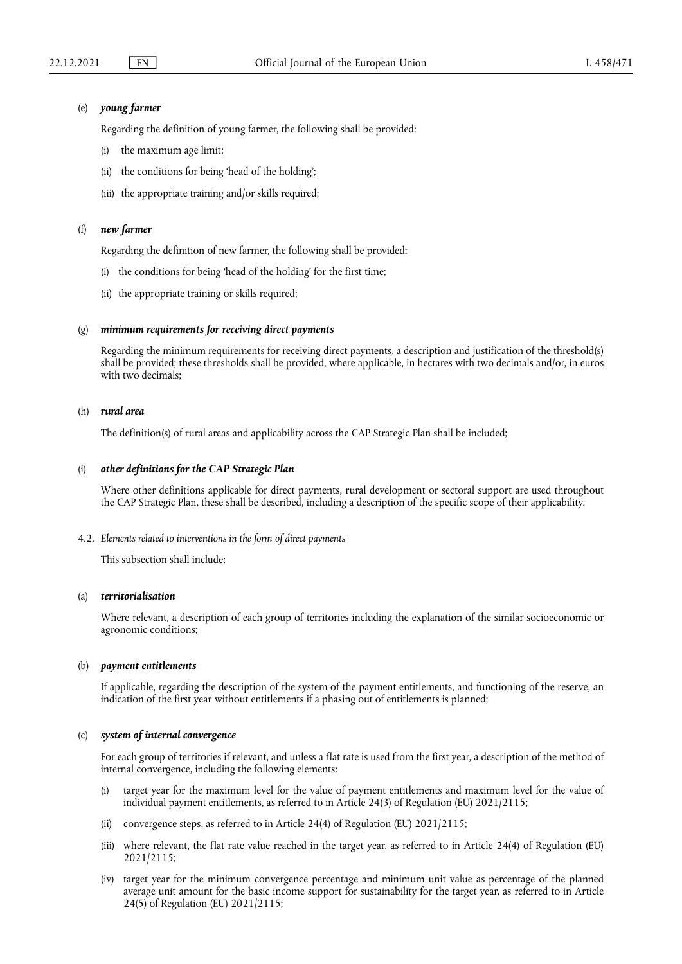### (e) *young farmer*

Regarding the definition of young farmer, the following shall be provided:

- (i) the maximum age limit;
- (ii) the conditions for being 'head of the holding';
- (iii) the appropriate training and/or skills required;

## (f) *new farmer*

Regarding the definition of new farmer, the following shall be provided:

- (i) the conditions for being 'head of the holding' for the first time;
- (ii) the appropriate training or skills required;

## (g) *minimum requirements for receiving direct payments*

Regarding the minimum requirements for receiving direct payments, a description and justification of the threshold(s) shall be provided; these thresholds shall be provided, where applicable, in hectares with two decimals and/or, in euros with two decimals;

## (h) *rural area*

The definition(s) of rural areas and applicability across the CAP Strategic Plan shall be included;

### (i) *other definitions for the CAP Strategic Plan*

Where other definitions applicable for direct payments, rural development or sectoral support are used throughout the CAP Strategic Plan, these shall be described, including a description of the specific scope of their applicability.

4.2. *Elements related to interventions in the form of direct payments*

This subsection shall include:

## (a) *territorialisation*

Where relevant, a description of each group of territories including the explanation of the similar socioeconomic or agronomic conditions;

#### (b) *payment entitlements*

If applicable, regarding the description of the system of the payment entitlements, and functioning of the reserve, an indication of the first year without entitlements if a phasing out of entitlements is planned;

## (c) *system of internal convergence*

For each group of territories if relevant, and unless a flat rate is used from the first year, a description of the method of internal convergence, including the following elements:

- (i) target year for the maximum level for the value of payment entitlements and maximum level for the value of individual payment entitlements, as referred to in Article 24(3) of Regulation (EU) 2021/2115;
- (ii) convergence steps, as referred to in Article 24(4) of Regulation (EU) 2021/2115;
- (iii) where relevant, the flat rate value reached in the target year, as referred to in Article 24(4) of Regulation (EU) 2021/2115;
- (iv) target year for the minimum convergence percentage and minimum unit value as percentage of the planned average unit amount for the basic income support for sustainability for the target year, as referred to in Article 24(5) of Regulation (EU) 2021/2115;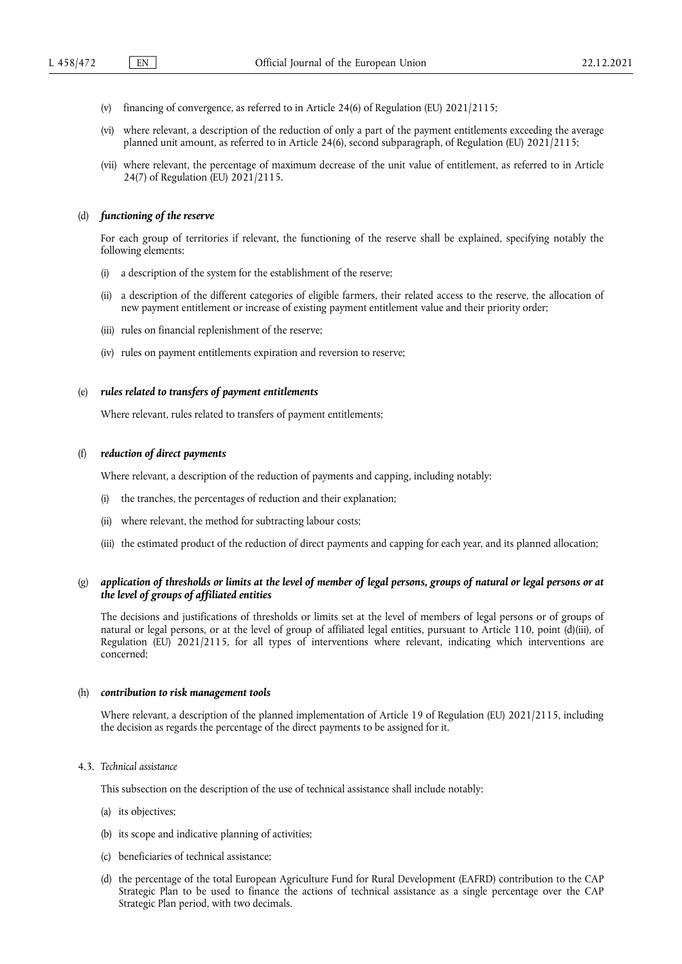- (v) financing of convergence, as referred to in Article 24(6) of Regulation (EU) 2021/2115;
- (vi) where relevant, a description of the reduction of only a part of the payment entitlements exceeding the average planned unit amount, as referred to in Article 24(6), second subparagraph, of Regulation (EU) 2021/2115;
- (vii) where relevant, the percentage of maximum decrease of the unit value of entitlement, as referred to in Article 24(7) of Regulation (EU) 2021/2115.

### (d) *functioning of the reserve*

For each group of territories if relevant, the functioning of the reserve shall be explained, specifying notably the following elements:

- (i) a description of the system for the establishment of the reserve;
- (ii) a description of the different categories of eligible farmers, their related access to the reserve, the allocation of new payment entitlement or increase of existing payment entitlement value and their priority order;
- (iii) rules on financial replenishment of the reserve;
- (iv) rules on payment entitlements expiration and reversion to reserve;

#### (e) *rules related to transfers of payment entitlements*

Where relevant, rules related to transfers of payment entitlements;

## (f) *reduction of direct payments*

Where relevant, a description of the reduction of payments and capping, including notably:

- (i) the tranches, the percentages of reduction and their explanation;
- (ii) where relevant, the method for subtracting labour costs;
- (iii) the estimated product of the reduction of direct payments and capping for each year, and its planned allocation;

## (g) *application of thresholds or limits at the level of member of legal persons, groups of natural or legal persons or at the level of groups of affiliated entities*

The decisions and justifications of thresholds or limits set at the level of members of legal persons or of groups of natural or legal persons, or at the level of group of affiliated legal entities, pursuant to Article 110, point (d)(iii), of Regulation (EU) 2021/2115, for all types of interventions where relevant, indicating which interventions are concerned;

#### (h) *contribution to risk management tools*

Where relevant, a description of the planned implementation of Article 19 of Regulation (EU) 2021/2115, including the decision as regards the percentage of the direct payments to be assigned for it.

#### 4.3. *Technical assistance*

This subsection on the description of the use of technical assistance shall include notably:

- (a) its objectives;
- (b) its scope and indicative planning of activities;
- (c) beneficiaries of technical assistance;
- (d) the percentage of the total European Agriculture Fund for Rural Development (EAFRD) contribution to the CAP Strategic Plan to be used to finance the actions of technical assistance as a single percentage over the CAP Strategic Plan period, with two decimals.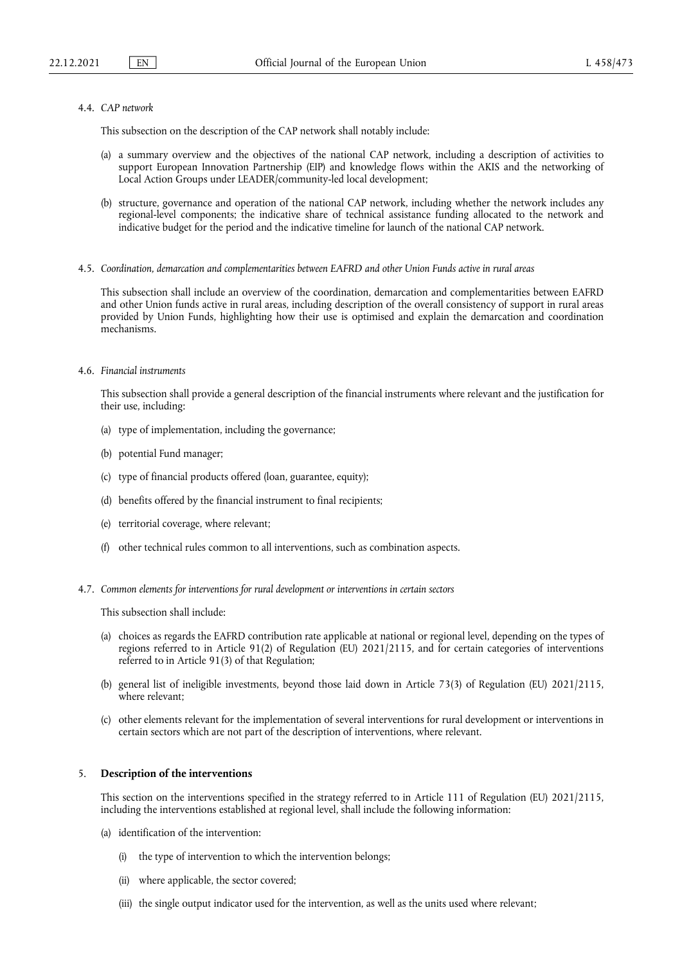### 4.4. *CAP network*

This subsection on the description of the CAP network shall notably include:

- (a) a summary overview and the objectives of the national CAP network, including a description of activities to support European Innovation Partnership (EIP) and knowledge flows within the AKIS and the networking of Local Action Groups under LEADER/community-led local development;
- (b) structure, governance and operation of the national CAP network, including whether the network includes any regional-level components; the indicative share of technical assistance funding allocated to the network and indicative budget for the period and the indicative timeline for launch of the national CAP network.
- 4.5. *Coordination, demarcation and complementarities between EAFRD and other Union Funds active in rural areas*

This subsection shall include an overview of the coordination, demarcation and complementarities between EAFRD and other Union funds active in rural areas, including description of the overall consistency of support in rural areas provided by Union Funds, highlighting how their use is optimised and explain the demarcation and coordination mechanisms.

## 4.6. *Financial instruments*

This subsection shall provide a general description of the financial instruments where relevant and the justification for their use, including:

- (a) type of implementation, including the governance;
- (b) potential Fund manager;
- (c) type of financial products offered (loan, guarantee, equity);
- (d) benefits offered by the financial instrument to final recipients;
- (e) territorial coverage, where relevant;
- (f) other technical rules common to all interventions, such as combination aspects.
- 4.7. *Common elements for interventions for rural development or interventions in certain sectors*

This subsection shall include:

- (a) choices as regards the EAFRD contribution rate applicable at national or regional level, depending on the types of regions referred to in Article 91(2) of Regulation (EU) 2021/2115, and for certain categories of interventions referred to in Article 91(3) of that Regulation;
- (b) general list of ineligible investments, beyond those laid down in Article 73(3) of Regulation (EU) 2021/2115, where relevant;
- (c) other elements relevant for the implementation of several interventions for rural development or interventions in certain sectors which are not part of the description of interventions, where relevant.

### 5. **Description of the interventions**

This section on the interventions specified in the strategy referred to in Article 111 of Regulation (EU) 2021/2115, including the interventions established at regional level, shall include the following information:

- (a) identification of the intervention:
	- (i) the type of intervention to which the intervention belongs;
	- (ii) where applicable, the sector covered;
	- (iii) the single output indicator used for the intervention, as well as the units used where relevant;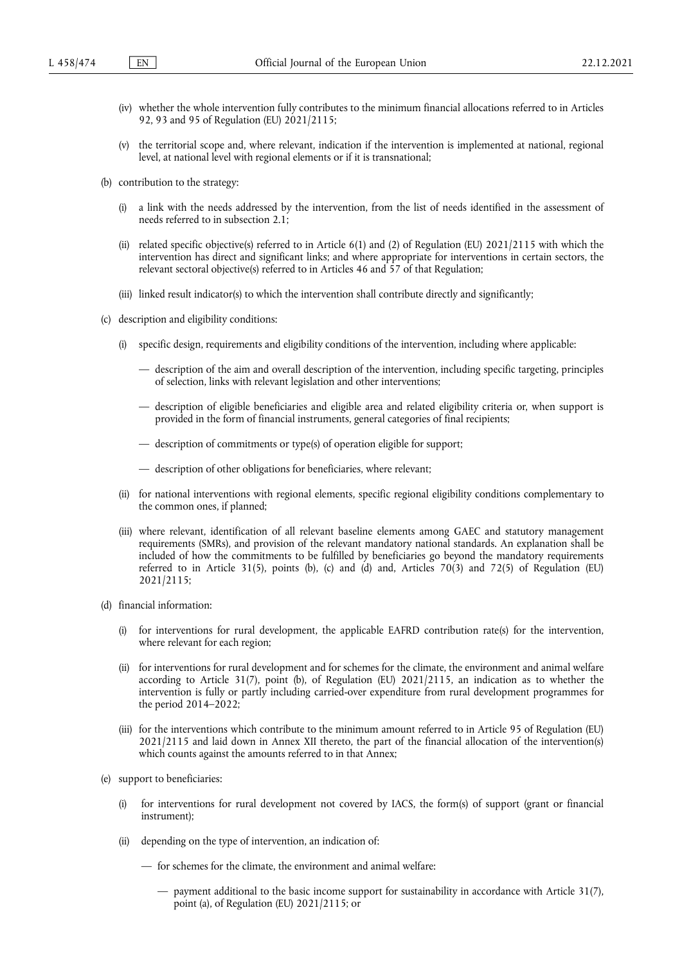- (iv) whether the whole intervention fully contributes to the minimum financial allocations referred to in Articles 92, 93 and 95 of Regulation (EU) 2021/2115;
- (v) the territorial scope and, where relevant, indication if the intervention is implemented at national, regional level, at national level with regional elements or if it is transnational;
- (b) contribution to the strategy:
	- (i) a link with the needs addressed by the intervention, from the list of needs identified in the assessment of needs referred to in subsection 2.1;
	- (ii) related specific objective(s) referred to in Article 6(1) and (2) of Regulation (EU) 2021/2115 with which the intervention has direct and significant links; and where appropriate for interventions in certain sectors, the relevant sectoral objective(s) referred to in Articles 46 and 57 of that Regulation;
	- (iii) linked result indicator(s) to which the intervention shall contribute directly and significantly;
- (c) description and eligibility conditions:
	- (i) specific design, requirements and eligibility conditions of the intervention, including where applicable:
		- description of the aim and overall description of the intervention, including specific targeting, principles of selection, links with relevant legislation and other interventions;
		- description of eligible beneficiaries and eligible area and related eligibility criteria or, when support is provided in the form of financial instruments, general categories of final recipients;
		- description of commitments or type(s) of operation eligible for support;
		- description of other obligations for beneficiaries, where relevant;
	- (ii) for national interventions with regional elements, specific regional eligibility conditions complementary to the common ones, if planned;
	- (iii) where relevant, identification of all relevant baseline elements among GAEC and statutory management requirements (SMRs), and provision of the relevant mandatory national standards. An explanation shall be included of how the commitments to be fulfilled by beneficiaries go beyond the mandatory requirements referred to in Article 31(5), points (b), (c) and (d) and, Articles 70(3) and 72(5) of Regulation (EU) 2021/2115;
- (d) financial information:
	- (i) for interventions for rural development, the applicable EAFRD contribution rate(s) for the intervention, where relevant for each region;
	- (ii) for interventions for rural development and for schemes for the climate, the environment and animal welfare according to Article 31(7), point (b), of Regulation (EU) 2021/2115, an indication as to whether the intervention is fully or partly including carried-over expenditure from rural development programmes for the period 2014–2022;
	- (iii) for the interventions which contribute to the minimum amount referred to in Article 95 of Regulation (EU) 2021/2115 and laid down in Annex XII thereto, the part of the financial allocation of the intervention(s) which counts against the amounts referred to in that Annex;
- (e) support to beneficiaries:
	- (i) for interventions for rural development not covered by IACS, the form(s) of support (grant or financial instrument);
	- (ii) depending on the type of intervention, an indication of:
		- for schemes for the climate, the environment and animal welfare:
			- payment additional to the basic income support for sustainability in accordance with Article 31(7), point (a), of Regulation (EU) 2021/2115; or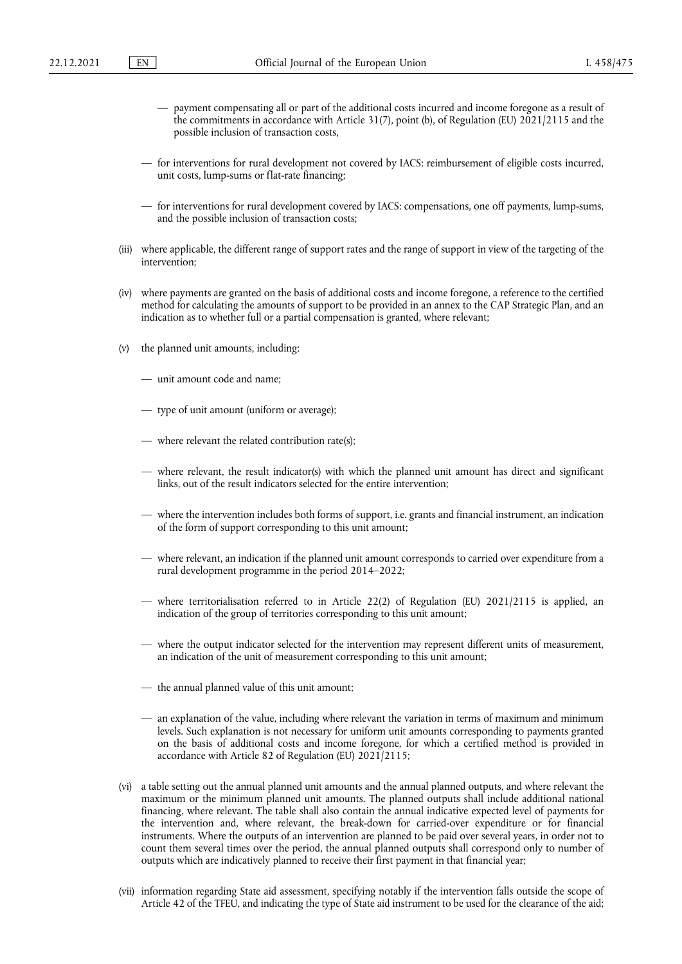- payment compensating all or part of the additional costs incurred and income foregone as a result of the commitments in accordance with Article 31(7), point (b), of Regulation (EU) 2021/2115 and the possible inclusion of transaction costs,
- for interventions for rural development not covered by IACS: reimbursement of eligible costs incurred, unit costs, lump-sums or flat-rate financing;
- for interventions for rural development covered by IACS: compensations, one off payments, lump-sums, and the possible inclusion of transaction costs;
- (iii) where applicable, the different range of support rates and the range of support in view of the targeting of the intervention;
- (iv) where payments are granted on the basis of additional costs and income foregone, a reference to the certified method for calculating the amounts of support to be provided in an annex to the CAP Strategic Plan, and an indication as to whether full or a partial compensation is granted, where relevant;
- (v) the planned unit amounts, including:
	- unit amount code and name;
	- type of unit amount (uniform or average);
	- where relevant the related contribution rate(s);
	- where relevant, the result indicator(s) with which the planned unit amount has direct and significant links, out of the result indicators selected for the entire intervention;
	- where the intervention includes both forms of support, i.e. grants and financial instrument, an indication of the form of support corresponding to this unit amount;
	- where relevant, an indication if the planned unit amount corresponds to carried over expenditure from a rural development programme in the period 2014–2022;
	- where territorialisation referred to in Article 22(2) of Regulation (EU) 2021/2115 is applied, an indication of the group of territories corresponding to this unit amount;
	- where the output indicator selected for the intervention may represent different units of measurement, an indication of the unit of measurement corresponding to this unit amount;
	- the annual planned value of this unit amount;
	- an explanation of the value, including where relevant the variation in terms of maximum and minimum levels. Such explanation is not necessary for uniform unit amounts corresponding to payments granted on the basis of additional costs and income foregone, for which a certified method is provided in accordance with Article 82 of Regulation (EU) 2021/2115;
- (vi) a table setting out the annual planned unit amounts and the annual planned outputs, and where relevant the maximum or the minimum planned unit amounts. The planned outputs shall include additional national financing, where relevant. The table shall also contain the annual indicative expected level of payments for the intervention and, where relevant, the break-down for carried-over expenditure or for financial instruments. Where the outputs of an intervention are planned to be paid over several years, in order not to count them several times over the period, the annual planned outputs shall correspond only to number of outputs which are indicatively planned to receive their first payment in that financial year;
- (vii) information regarding State aid assessment, specifying notably if the intervention falls outside the scope of Article 42 of the TFEU, and indicating the type of State aid instrument to be used for the clearance of the aid;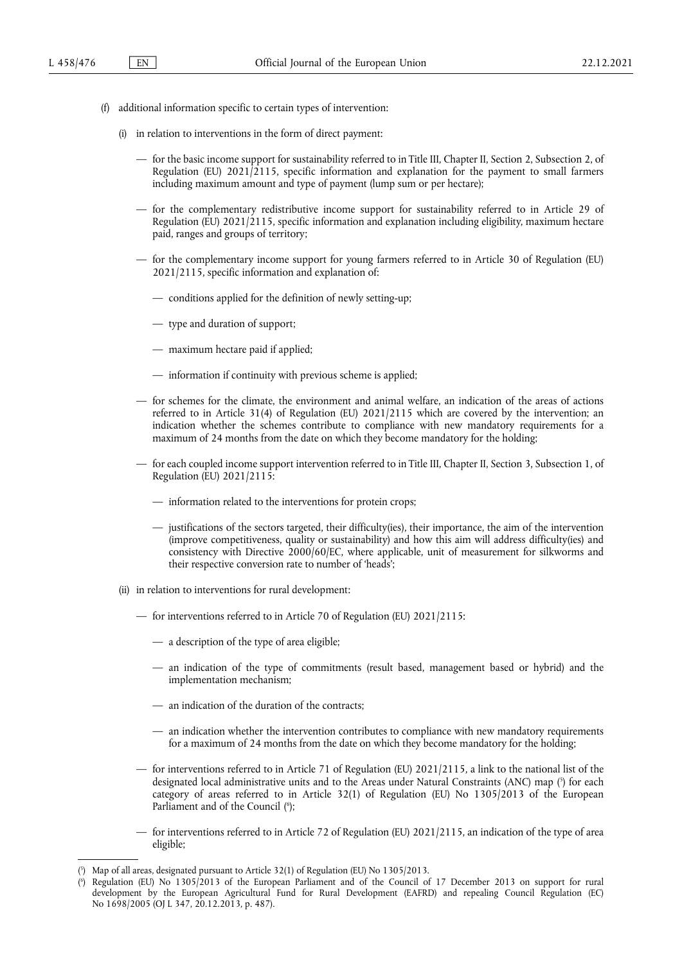- (f) additional information specific to certain types of intervention:
	- (i) in relation to interventions in the form of direct payment:
		- for the basic income support for sustainability referred to in Title III, Chapter II, Section 2, Subsection 2, of Regulation (EU)  $2021/2115$ , specific information and explanation for the payment to small farmers including maximum amount and type of payment (lump sum or per hectare);
		- for the complementary redistributive income support for sustainability referred to in Article 29 of Regulation (EU)  $2021/2115$ , specific information and explanation including eligibility, maximum hectare paid, ranges and groups of territory;
		- for the complementary income support for young farmers referred to in Article 30 of Regulation (EU) 2021/2115, specific information and explanation of:
			- conditions applied for the definition of newly setting-up;
			- type and duration of support;
			- maximum hectare paid if applied;
			- information if continuity with previous scheme is applied;
		- for schemes for the climate, the environment and animal welfare, an indication of the areas of actions referred to in Article 31(4) of Regulation (EU) 2021/2115 which are covered by the intervention; an indication whether the schemes contribute to compliance with new mandatory requirements for a maximum of 24 months from the date on which they become mandatory for the holding;
		- for each coupled income support intervention referred to in Title III, Chapter II, Section 3, Subsection 1, of Regulation (EU) 2021/2115:
			- information related to the interventions for protein crops;
			- justifications of the sectors targeted, their difficulty(ies), their importance, the aim of the intervention (improve competitiveness, quality or sustainability) and how this aim will address difficulty(ies) and consistency with Directive 2000/60/EC, where applicable, unit of measurement for silkworms and their respective conversion rate to number of 'heads';
	- (ii) in relation to interventions for rural development:
		- for interventions referred to in Article 70 of Regulation (EU) 2021/2115:
			- a description of the type of area eligible;
			- an indication of the type of commitments (result based, management based or hybrid) and the implementation mechanism;
			- an indication of the duration of the contracts;
			- an indication whether the intervention contributes to compliance with new mandatory requirements for a maximum of 24 months from the date on which they become mandatory for the holding;
		- for interventions referred to in Article 71 of Regulation (EU) 2021/2115, a link to the national list of the designated local administrative units and to the Areas under Natural Constraints [\(](#page-13-0)ANC) map (5) for each category of areas referred to in Article 32(1) of Regulation (EU) No 1305/2013 of the European Parliament and of the Council [\(](#page-13-1)6);
		- for interventions referred to in Article 72 of Regulation (EU) 2021/2115, an indication of the type of area eligible;

<span id="page-13-3"></span><span id="page-13-2"></span><span id="page-13-0"></span>[<sup>\(</sup>](#page-13-2) 5 ) Map of all areas, designated pursuant to Article 32(1) of Regulation (EU) No 1305/2013.

<span id="page-13-1"></span>[<sup>\(</sup>](#page-13-3) 6 ) Regulation (EU) No 1305/2013 of the European Parliament and of the Council of 17 December 2013 on support for rural development by the European Agricultural Fund for Rural Development (EAFRD) and repealing Council Regulation (EC) No 1698/2005 (OJ L 347, 20.12.2013, p. 487).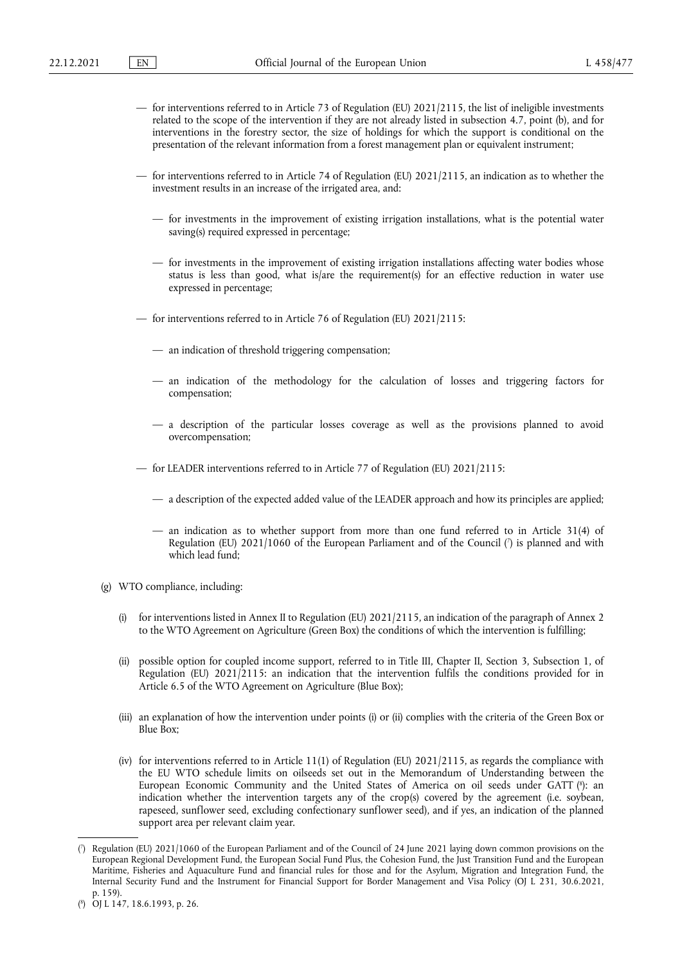- for interventions referred to in Article 73 of Regulation (EU) 2021/2115, the list of ineligible investments related to the scope of the intervention if they are not already listed in subsection 4.7, point (b), and for interventions in the forestry sector, the size of holdings for which the support is conditional on the presentation of the relevant information from a forest management plan or equivalent instrument;
- for interventions referred to in Article 74 of Regulation (EU) 2021/2115, an indication as to whether the investment results in an increase of the irrigated area, and:
	- for investments in the improvement of existing irrigation installations, what is the potential water saving(s) required expressed in percentage;
	- for investments in the improvement of existing irrigation installations affecting water bodies whose status is less than good, what is/are the requirement(s) for an effective reduction in water use expressed in percentage;
- for interventions referred to in Article 76 of Regulation (EU) 2021/2115:
	- an indication of threshold triggering compensation;
	- an indication of the methodology for the calculation of losses and triggering factors for compensation;
	- a description of the particular losses coverage as well as the provisions planned to avoid overcompensation;
- for LEADER interventions referred to in Article 77 of Regulation (EU) 2021/2115:
	- a description of the expected added value of the LEADER approach and how its principles are applied;
	- an indication as to whether support from more than one fund referred to in Article 31(4) of Regulation [\(](#page-14-0)EU) 2021/1060 of the European Parliament and of the Council (') is planned and with which lead fund;
- <span id="page-14-2"></span>(g) WTO compliance, including:
	- (i) for interventions listed in Annex II to Regulation (EU) 2021/2115, an indication of the paragraph of Annex 2 to the WTO Agreement on Agriculture (Green Box) the conditions of which the intervention is fulfilling;
	- (ii) possible option for coupled income support, referred to in Title III, Chapter II, Section 3, Subsection 1, of Regulation (EU) 2021/2115: an indication that the intervention fulfils the conditions provided for in Article 6.5 of the WTO Agreement on Agriculture (Blue Box);
	- (iii) an explanation of how the intervention under points (i) or (ii) complies with the criteria of the Green Box or Blue Box;
	- (iv) for interventions referred to in Article 11(1) of Regulation (EU) 2021/2115, as regards the compliance with the EU WTO schedule limits on oilseeds set out in the Memorandum of Understanding between the European Economic Community and the United States of America on oil seeds under GATT [\(](#page-14-1)\*): an indication whether the intervention targets any of the crop(s) covered by the agreement (i.e. soybean, rapeseed, sunflower seed, excluding confectionary sunflower seed), and if yes, an indication of the planned support area per relevant claim year.

<span id="page-14-3"></span><span id="page-14-0"></span>[<sup>\(</sup>](#page-14-2) 7 ) Regulation (EU) 2021/1060 of the European Parliament and of the Council of 24 June 2021 laying down common provisions on the European Regional Development Fund, the European Social Fund Plus, the Cohesion Fund, the Just Transition Fund and the European Maritime, Fisheries and Aquaculture Fund and financial rules for those and for the Asylum, Migration and Integration Fund, the Internal Security Fund and the Instrument for Financial Support for Border Management and Visa Policy (OJ L 231, 30.6.2021, p. 159).

<span id="page-14-1"></span><sup>(</sup> 8 [\)](#page-14-3) OJ L 147, 18.6.1993, p. 26.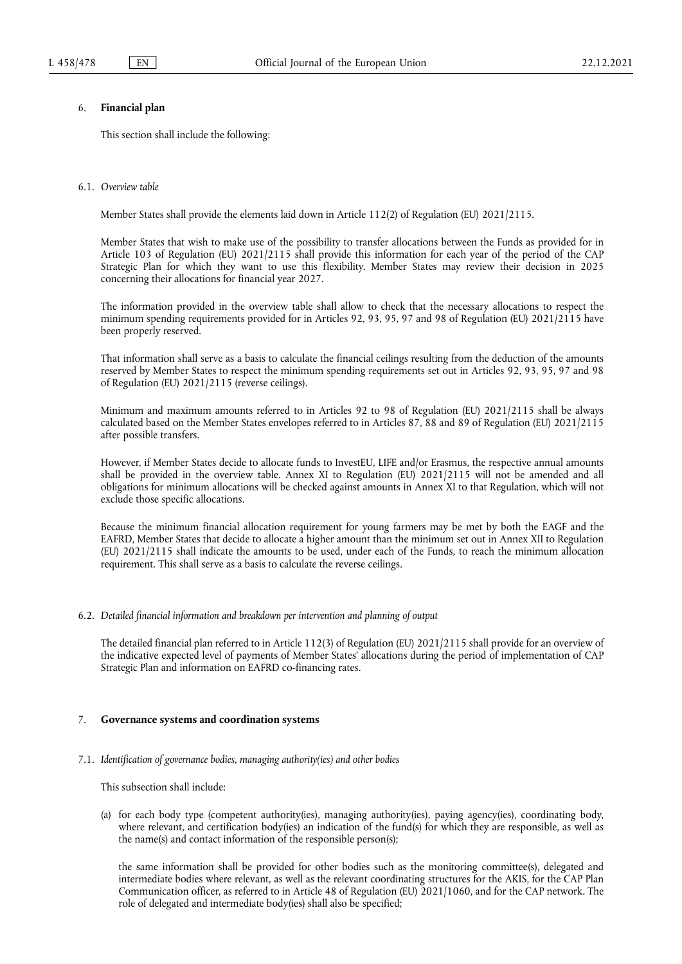# 6. **Financial plan**

This section shall include the following:

### 6.1. *Overview table*

Member States shall provide the elements laid down in Article 112(2) of Regulation (EU) 2021/2115.

Member States that wish to make use of the possibility to transfer allocations between the Funds as provided for in Article 103 of Regulation (EU) 2021/2115 shall provide this information for each year of the period of the CAP Strategic Plan for which they want to use this flexibility. Member States may review their decision in 2025 concerning their allocations for financial year 2027.

The information provided in the overview table shall allow to check that the necessary allocations to respect the minimum spending requirements provided for in Articles 92, 93, 95, 97 and 98 of Regulation (EU) 2021/2115 have been properly reserved.

That information shall serve as a basis to calculate the financial ceilings resulting from the deduction of the amounts reserved by Member States to respect the minimum spending requirements set out in Articles 92, 93, 95, 97 and 98 of Regulation (EU) 2021/2115 (reverse ceilings).

Minimum and maximum amounts referred to in Articles 92 to 98 of Regulation (EU) 2021/2115 shall be always calculated based on the Member States envelopes referred to in Articles 87, 88 and 89 of Regulation (EU) 2021/2115 after possible transfers.

However, if Member States decide to allocate funds to InvestEU, LIFE and/or Erasmus, the respective annual amounts shall be provided in the overview table. Annex XI to Regulation (EU) 2021/2115 will not be amended and all obligations for minimum allocations will be checked against amounts in Annex XI to that Regulation, which will not exclude those specific allocations.

Because the minimum financial allocation requirement for young farmers may be met by both the EAGF and the EAFRD, Member States that decide to allocate a higher amount than the minimum set out in Annex XII to Regulation (EU) 2021/2115 shall indicate the amounts to be used, under each of the Funds, to reach the minimum allocation requirement. This shall serve as a basis to calculate the reverse ceilings.

#### 6.2. *Detailed financial information and breakdown per intervention and planning of output*

The detailed financial plan referred to in Article 112(3) of Regulation (EU) 2021/2115 shall provide for an overview of the indicative expected level of payments of Member States' allocations during the period of implementation of CAP Strategic Plan and information on EAFRD co-financing rates.

### 7. **Governance systems and coordination systems**

### 7.1. *Identification of governance bodies, managing authority(ies) and other bodies*

This subsection shall include:

(a) for each body type (competent authority(ies), managing authority(ies), paying agency(ies), coordinating body, where relevant, and certification body(ies) an indication of the fund(s) for which they are responsible, as well as the name(s) and contact information of the responsible person(s);

the same information shall be provided for other bodies such as the monitoring committee(s), delegated and intermediate bodies where relevant, as well as the relevant coordinating structures for the AKIS, for the CAP Plan Communication officer, as referred to in Article 48 of Regulation (EU) 2021/1060, and for the CAP network. The role of delegated and intermediate body(ies) shall also be specified;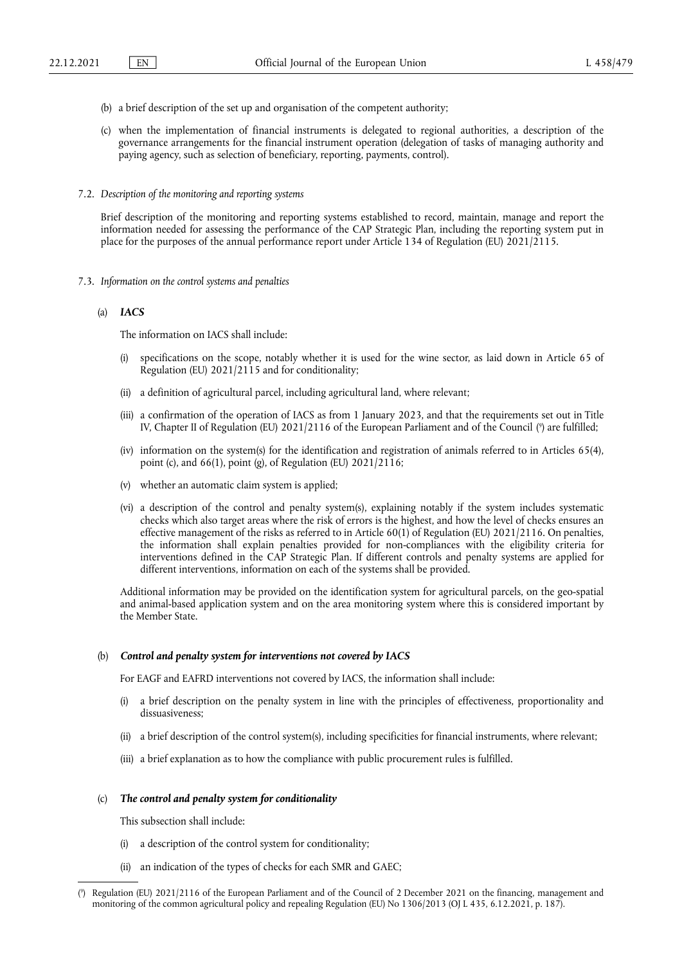- (b) a brief description of the set up and organisation of the competent authority;
- (c) when the implementation of financial instruments is delegated to regional authorities, a description of the governance arrangements for the financial instrument operation (delegation of tasks of managing authority and paying agency, such as selection of beneficiary, reporting, payments, control).
- 7.2. *Description of the monitoring and reporting systems*

Brief description of the monitoring and reporting systems established to record, maintain, manage and report the information needed for assessing the performance of the CAP Strategic Plan, including the reporting system put in place for the purposes of the annual performance report under Article 134 of Regulation (EU) 2021/2115.

- 7.3. *Information on the control systems and penalties*
	- (a) *IACS*

The information on IACS shall include:

- (i) specifications on the scope, notably whether it is used for the wine sector, as laid down in Article 65 of Regulation (EU) 2021/2115 and for conditionality;
- (ii) a definition of agricultural parcel, including agricultural land, where relevant;
- <span id="page-16-1"></span>(iii) a confirmation of the operation of IACS as from 1 January 2023, and that the requirements set out in Title IV, Chapter II of Regulation (EU) 2021/2116 of the European Parliament and of the Council [\(](#page-16-0) 9 ) are fulfilled;
- (iv) information on the system(s) for the identification and registration of animals referred to in Articles 65(4), point (c), and 66(1), point (g), of Regulation (EU) 2021/2116;
- (v) whether an automatic claim system is applied;
- (vi) a description of the control and penalty system(s), explaining notably if the system includes systematic checks which also target areas where the risk of errors is the highest, and how the level of checks ensures an effective management of the risks as referred to in Article 60(1) of Regulation (EU) 2021/2116. On penalties, the information shall explain penalties provided for non-compliances with the eligibility criteria for interventions defined in the CAP Strategic Plan. If different controls and penalty systems are applied for different interventions, information on each of the systems shall be provided.

Additional information may be provided on the identification system for agricultural parcels, on the geo-spatial and animal-based application system and on the area monitoring system where this is considered important by the Member State.

#### (b) *Control and penalty system for interventions not covered by IACS*

For EAGF and EAFRD interventions not covered by IACS, the information shall include:

- (i) a brief description on the penalty system in line with the principles of effectiveness, proportionality and dissuasiveness;
- (ii) a brief description of the control system(s), including specificities for financial instruments, where relevant;
- (iii) a brief explanation as to how the compliance with public procurement rules is fulfilled.

#### (c) *The control and penalty system for conditionality*

This subsection shall include:

- (i) a description of the control system for conditionality;
- (ii) an indication of the types of checks for each SMR and GAEC;

<span id="page-16-0"></span>[<sup>\(</sup>](#page-16-1) 9 ) Regulation (EU) 2021/2116 of the European Parliament and of the Council of 2 December 2021 on the financing, management and monitoring of the common agricultural policy and repealing Regulation (EU) No 1306/2013 (OJ L 435, 6.12.2021, p. 187).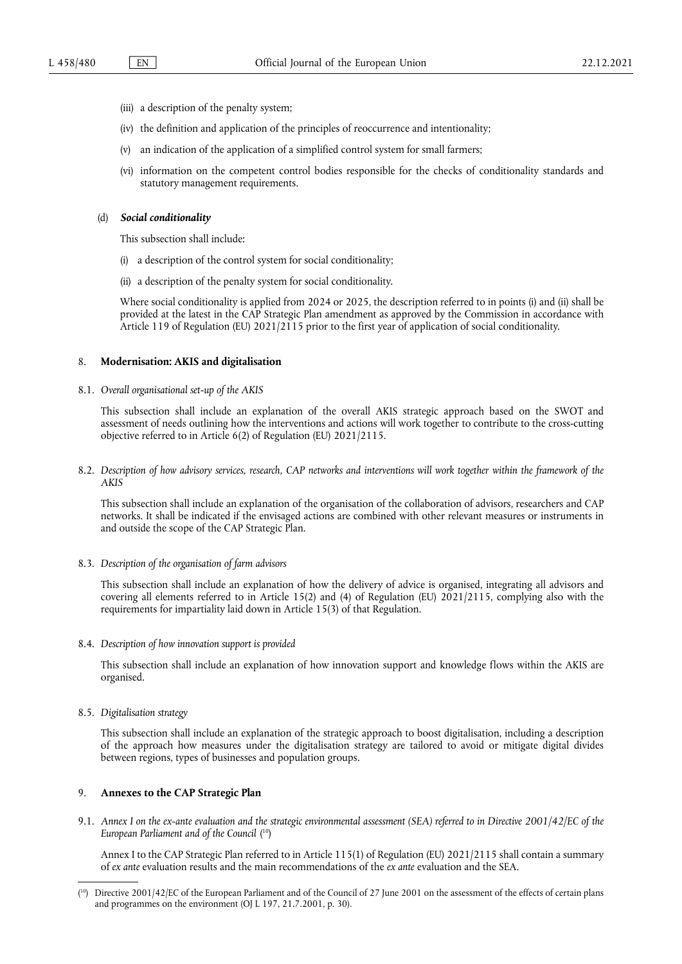- (iii) a description of the penalty system;
- (iv) the definition and application of the principles of reoccurrence and intentionality;
- (v) an indication of the application of a simplified control system for small farmers;
- (vi) information on the competent control bodies responsible for the checks of conditionality standards and statutory management requirements.

#### (d) *Social conditionality*

This subsection shall include:

- (i) a description of the control system for social conditionality;
- (ii) a description of the penalty system for social conditionality.

Where social conditionality is applied from 2024 or 2025, the description referred to in points (i) and (ii) shall be provided at the latest in the CAP Strategic Plan amendment as approved by the Commission in accordance with Article 119 of Regulation (EU) 2021/2115 prior to the first year of application of social conditionality.

#### 8. **Modernisation: AKIS and digitalisation**

8.1. *Overall organisational set-up of the AKIS*

This subsection shall include an explanation of the overall AKIS strategic approach based on the SWOT and assessment of needs outlining how the interventions and actions will work together to contribute to the cross-cutting objective referred to in Article 6(2) of Regulation (EU) 2021/2115.

8.2. *Description of how advisory services, research, CAP networks and interventions will work together within the framework of the AKIS*

This subsection shall include an explanation of the organisation of the collaboration of advisors, researchers and CAP networks. It shall be indicated if the envisaged actions are combined with other relevant measures or instruments in and outside the scope of the CAP Strategic Plan.

8.3. *Description of the organisation of farm advisors*

This subsection shall include an explanation of how the delivery of advice is organised, integrating all advisors and covering all elements referred to in Article 15(2) and (4) of Regulation (EU) 2021/2115, complying also with the requirements for impartiality laid down in Article 15(3) of that Regulation.

8.4. *Description of how innovation support is provided*

This subsection shall include an explanation of how innovation support and knowledge flows within the AKIS are organised.

8.5. *Digitalisation strategy*

This subsection shall include an explanation of the strategic approach to boost digitalisation, including a description of the approach how measures under the digitalisation strategy are tailored to avoid or mitigate digital divides between regions, types of businesses and population groups.

## 9. **Annexes to the CAP Strategic Plan**

<span id="page-17-1"></span>9.1. *Annex I on the ex-ante evaluation and the strategic environmental assessment (SEA) referred to in Directive 2001/42/EC of the European Parliament and of the Council* ( [10\)](#page-17-0)

Annex I to the CAP Strategic Plan referred to in Article 115(1) of Regulation (EU) 2021/2115 shall contain a summary of *ex ante* evaluation results and the main recommendations of the *ex ante* evaluation and the SEA.

<span id="page-17-0"></span><sup>(</sup> [10\)](#page-17-1) Directive 2001/42/EC of the European Parliament and of the Council of 27 June 2001 on the assessment of the effects of certain plans and programmes on the environment (OJ L 197, 21.7.2001, p. 30).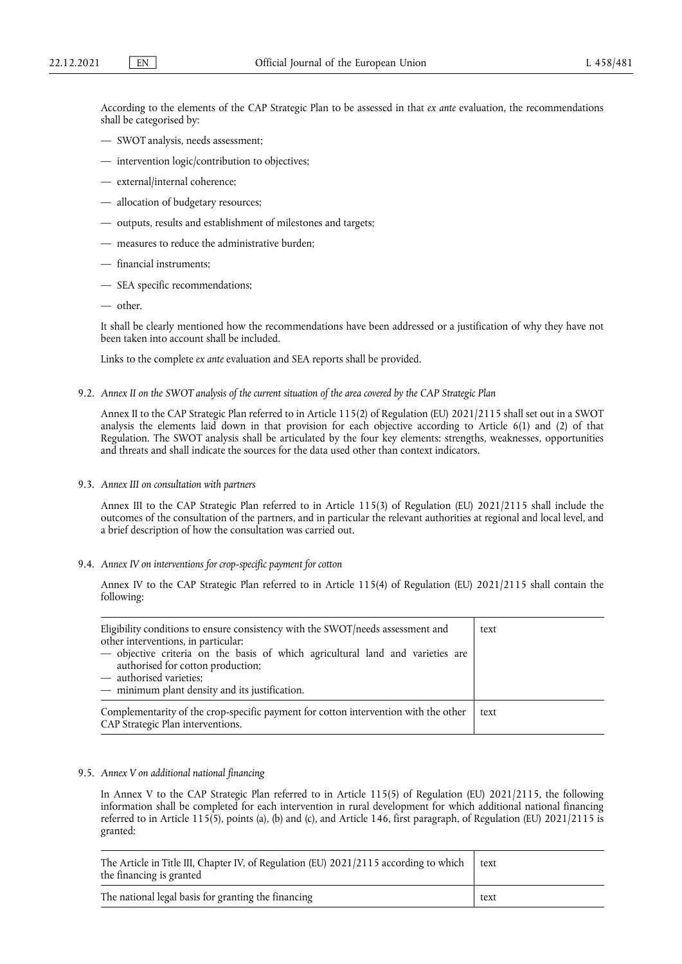According to the elements of the CAP Strategic Plan to be assessed in that *ex ante* evaluation, the recommendations shall be categorised by:

- SWOT analysis, needs assessment;
- intervention logic/contribution to objectives;
- external/internal coherence;
- allocation of budgetary resources;
- outputs, results and establishment of milestones and targets;
- measures to reduce the administrative burden;
- financial instruments;
- SEA specific recommendations;
- other.

It shall be clearly mentioned how the recommendations have been addressed or a justification of why they have not been taken into account shall be included.

Links to the complete *ex ante* evaluation and SEA reports shall be provided.

9.2. *Annex II on the SWOT analysis of the current situation of the area covered by the CAP Strategic Plan*

Annex II to the CAP Strategic Plan referred to in Article 115(2) of Regulation (EU) 2021/2115 shall set out in a SWOT analysis the elements laid down in that provision for each objective according to Article 6(1) and (2) of that Regulation. The SWOT analysis shall be articulated by the four key elements: strengths, weaknesses, opportunities and threats and shall indicate the sources for the data used other than context indicators.

9.3. *Annex III on consultation with partners*

Annex III to the CAP Strategic Plan referred to in Article 115(3) of Regulation (EU) 2021/2115 shall include the outcomes of the consultation of the partners, and in particular the relevant authorities at regional and local level, and a brief description of how the consultation was carried out.

9.4. *Annex IV on interventions for crop-specific payment for cotton*

Annex IV to the CAP Strategic Plan referred to in Article 115(4) of Regulation (EU) 2021/2115 shall contain the following:

| Eligibility conditions to ensure consistency with the SWOT/needs assessment and<br>other interventions, in particular:<br>- objective criteria on the basis of which agricultural land and varieties are<br>authorised for cotton production;<br>- authorised varieties;<br>- minimum plant density and its justification. | text |
|----------------------------------------------------------------------------------------------------------------------------------------------------------------------------------------------------------------------------------------------------------------------------------------------------------------------------|------|
| Complementarity of the crop-specific payment for cotton intervention with the other<br>CAP Strategic Plan interventions.                                                                                                                                                                                                   | text |

## 9.5. *Annex V on additional national financing*

In Annex V to the CAP Strategic Plan referred to in Article 115(5) of Regulation (EU) 2021/2115, the following information shall be completed for each intervention in rural development for which additional national financing referred to in Article 115(5), points (a), (b) and (c), and Article 146, first paragraph, of Regulation (EU) 2021/2115 is granted:

| The Article in Title III, Chapter IV, of Regulation (EU) 2021/2115 according to which<br>the financing is granted | text |
|-------------------------------------------------------------------------------------------------------------------|------|
| The national legal basis for granting the financing                                                               | text |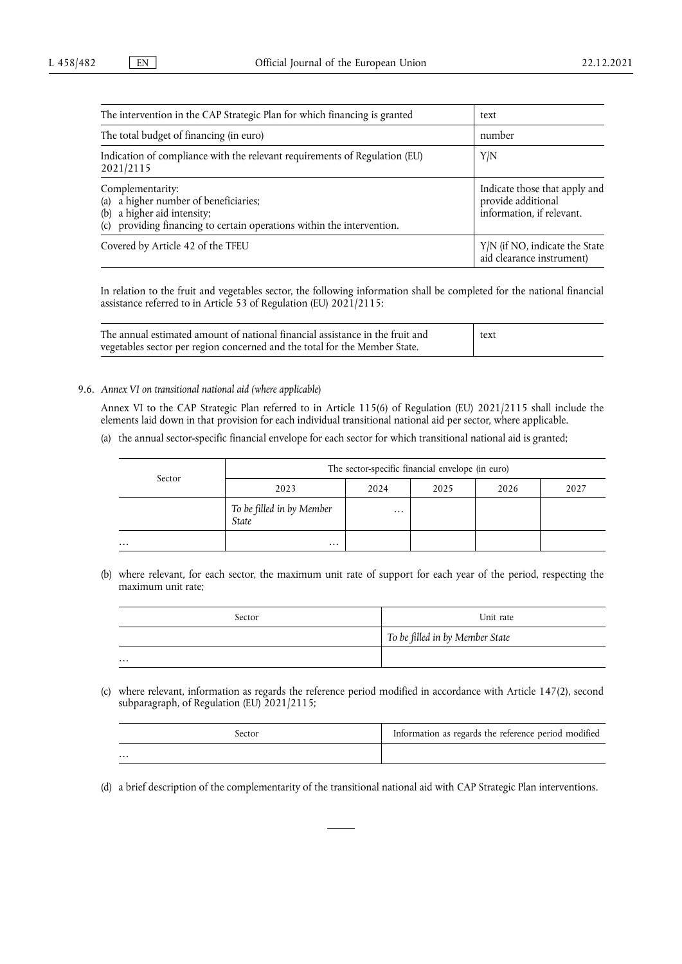| The intervention in the CAP Strategic Plan for which financing is granted                                                                                                   | text                                                                             |  |
|-----------------------------------------------------------------------------------------------------------------------------------------------------------------------------|----------------------------------------------------------------------------------|--|
| The total budget of financing (in euro)                                                                                                                                     | number                                                                           |  |
| Indication of compliance with the relevant requirements of Regulation (EU)<br>2021/2115                                                                                     | Y/N                                                                              |  |
| Complementarity:<br>a higher number of beneficiaries;<br>(a)<br>a higher aid intensity;<br>(b)<br>providing financing to certain operations within the intervention.<br>(c) | Indicate those that apply and<br>provide additional<br>information, if relevant. |  |
| Covered by Article 42 of the TFEU                                                                                                                                           | Y/N (if NO, indicate the State<br>aid clearance instrument)                      |  |

In relation to the fruit and vegetables sector, the following information shall be completed for the national financial assistance referred to in Article 53 of Regulation (EU) 2021/2115:

| The annual estimated amount of national financial assistance in the fruit and | text |
|-------------------------------------------------------------------------------|------|
| vegetables sector per region concerned and the total for the Member State.    |      |

9.6. *Annex VI on transitional national aid (where applicable*)

Annex VI to the CAP Strategic Plan referred to in Article 115(6) of Regulation (EU) 2021/2115 shall include the elements laid down in that provision for each individual transitional national aid per sector, where applicable.

(a) the annual sector-specific financial envelope for each sector for which transitional national aid is granted;

|                     | The sector-specific financial envelope (in euro) |          |      |      |      |
|---------------------|--------------------------------------------------|----------|------|------|------|
| Sector              | 2023                                             | 2024     | 2025 | 2026 | 2027 |
|                     | To be filled in by Member<br>State               | $\cdots$ |      |      |      |
| $\cdot \cdot \cdot$ | $\cdots$                                         |          |      |      |      |

(b) where relevant, for each sector, the maximum unit rate of support for each year of the period, respecting the maximum unit rate;

| Sector   | Unit rate                       |
|----------|---------------------------------|
|          | To be filled in by Member State |
| $\cdots$ |                                 |

(c) where relevant, information as regards the reference period modified in accordance with Article 147(2), second subparagraph, of Regulation (EU) 2021/2115;

| sector | Information as regards the reference period modified |
|--------|------------------------------------------------------|
| .      |                                                      |

(d) a brief description of the complementarity of the transitional national aid with CAP Strategic Plan interventions.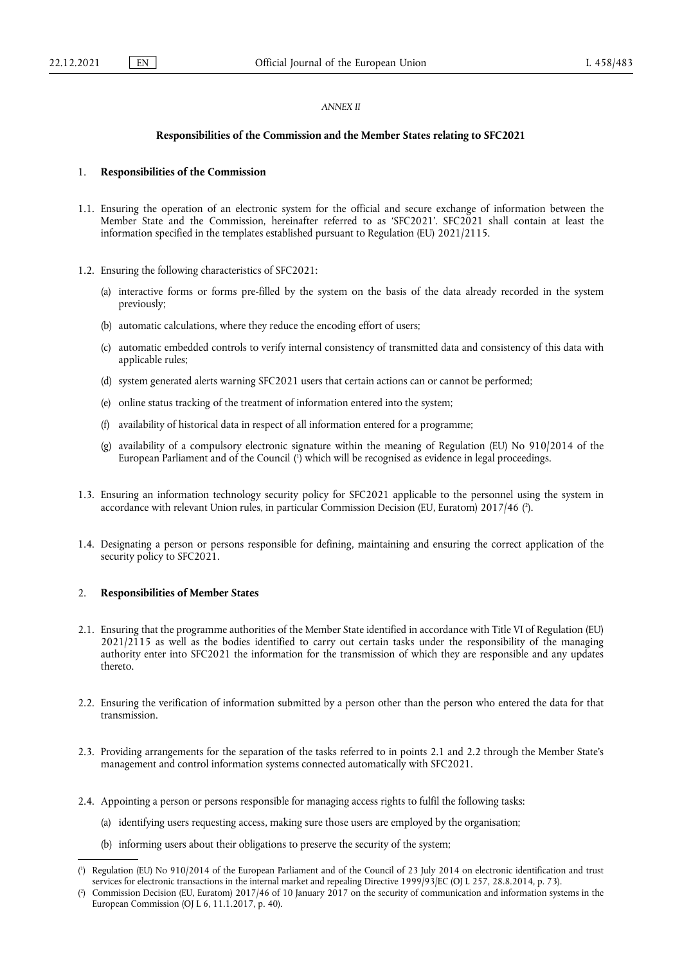## *ANNEX II*

## **Responsibilities of the Commission and the Member States relating to SFC2021**

## 1. **Responsibilities of the Commission**

- 1.1. Ensuring the operation of an electronic system for the official and secure exchange of information between the Member State and the Commission, hereinafter referred to as 'SFC2021'. SFC2021 shall contain at least the information specified in the templates established pursuant to Regulation (EU) 2021/2115.
- 1.2. Ensuring the following characteristics of SFC2021:
	- (a) interactive forms or forms pre-filled by the system on the basis of the data already recorded in the system previously;
	- (b) automatic calculations, where they reduce the encoding effort of users;
	- (c) automatic embedded controls to verify internal consistency of transmitted data and consistency of this data with applicable rules;
	- (d) system generated alerts warning SFC2021 users that certain actions can or cannot be performed;
	- (e) online status tracking of the treatment of information entered into the system;
	- (f) availability of historical data in respect of all information entered for a programme;
	- (g) availability of a compulsory electronic signature within the meaning of Regulation (EU) No 910/2014 of the European Parliament and of the Council [\(](#page-20-0) 1 ) which will be recognised as evidence in legal proceedings.
- <span id="page-20-3"></span><span id="page-20-2"></span>1.3. Ensuring an information technology security policy for SFC2021 applicable to the personnel using the system in accordance with relevant Union rules, in particular Commission Decision (EU, Euratom) 2017/46 ( 2 [\).](#page-20-1)
- 1.4. Designating a person or persons responsible for defining, maintaining and ensuring the correct application of the security policy to SFC2021.

#### 2. **Responsibilities of Member States**

- 2.1. Ensuring that the programme authorities of the Member State identified in accordance with Title VI of Regulation (EU) 2021/2115 as well as the bodies identified to carry out certain tasks under the responsibility of the managing authority enter into SFC2021 the information for the transmission of which they are responsible and any updates thereto.
- 2.2. Ensuring the verification of information submitted by a person other than the person who entered the data for that transmission.
- 2.3. Providing arrangements for the separation of the tasks referred to in points 2.1 and 2.2 through the Member State's management and control information systems connected automatically with SFC2021.
- 2.4. Appointing a person or persons responsible for managing access rights to fulfil the following tasks:
	- (a) identifying users requesting access, making sure those users are employed by the organisation;
	- (b) informing users about their obligations to preserve the security of the system;

<span id="page-20-0"></span>[<sup>\(</sup>](#page-20-2) 1 ) Regulation (EU) No 910/2014 of the European Parliament and of the Council of 23 July 2014 on electronic identification and trust services for electronic transactions in the internal market and repealing Directive 1999/93/EC (OJ L 257, 28.8.2014, p. 73).

<span id="page-20-1"></span>[<sup>\(</sup>](#page-20-3) 2 ) Commission Decision (EU, Euratom) 2017/46 of 10 January 2017 on the security of communication and information systems in the European Commission (OJ L 6, 11.1.2017, p. 40).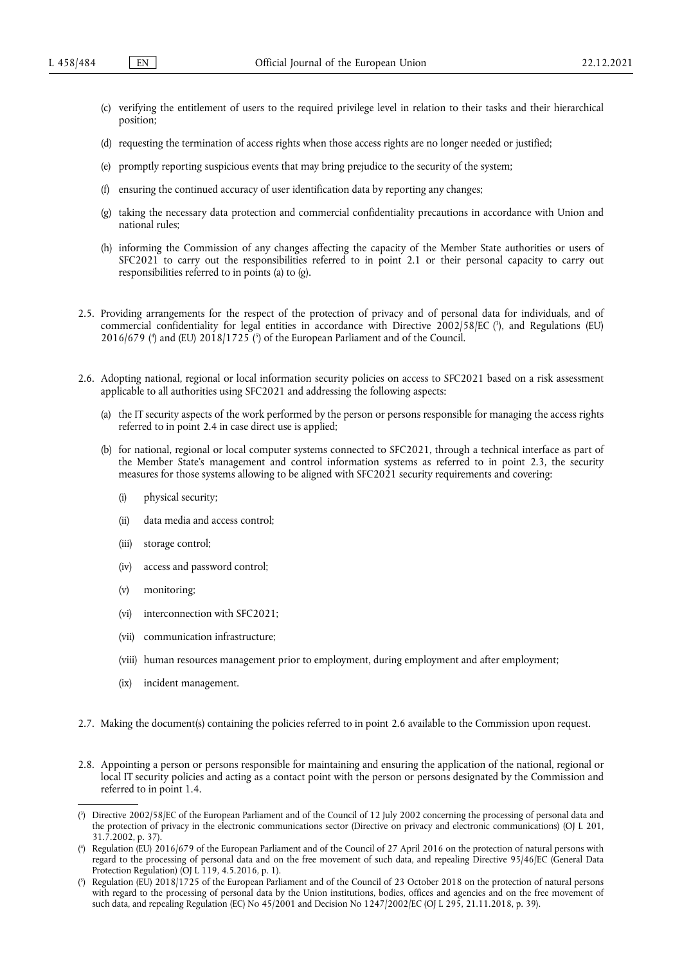- (c) verifying the entitlement of users to the required privilege level in relation to their tasks and their hierarchical position;
- (d) requesting the termination of access rights when those access rights are no longer needed or justified;
- (e) promptly reporting suspicious events that may bring prejudice to the security of the system;
- (f) ensuring the continued accuracy of user identification data by reporting any changes;
- (g) taking the necessary data protection and commercial confidentiality precautions in accordance with Union and national rules;
- (h) informing the Commission of any changes affecting the capacity of the Member State authorities or users of SFC2021 to carry out the responsibilities referred to in point 2.1 or their personal capacity to carry out responsibilities referred to in points (a) to (g).
- <span id="page-21-4"></span><span id="page-21-3"></span>2.5. Providing arrangements for the respect of the protection of privacy and of personal data for individuals, and of commercial confidentiality for legal entities in accordance with Directive 2002/58/EC ( 3 [\),](#page-21-0) and Regulations (EU) 2016/679 [\(](#page-21-2)\*) and (EU) 2018/1725 ( $\delta$ ) of the European Parliament and of the Council.
- 2.6. Adopting national, regional or local information security policies on access to SFC2021 based on a risk assessment applicable to all authorities using SFC2021 and addressing the following aspects:
	- (a) the IT security aspects of the work performed by the person or persons responsible for managing the access rights referred to in point 2.4 in case direct use is applied;
	- (b) for national, regional or local computer systems connected to SFC2021, through a technical interface as part of the Member State's management and control information systems as referred to in point 2.3, the security measures for those systems allowing to be aligned with SFC2021 security requirements and covering:
		- (i) physical security;
		- (ii) data media and access control;
		- (iii) storage control;
		- (iv) access and password control;
		- (v) monitoring;
		- (vi) interconnection with SFC2021;
		- (vii) communication infrastructure;
		- (viii) human resources management prior to employment, during employment and after employment;
		- (ix) incident management.
- 2.7. Making the document(s) containing the policies referred to in point 2.6 available to the Commission upon request.
- 2.8. Appointing a person or persons responsible for maintaining and ensuring the application of the national, regional or local IT security policies and acting as a contact point with the person or persons designated by the Commission and referred to in point 1.4.

<span id="page-21-0"></span>[<sup>\(</sup>](#page-21-3) 3 ) Directive 2002/58/EC of the European Parliament and of the Council of 12 July 2002 concerning the processing of personal data and the protection of privacy in the electronic communications sector (Directive on privacy and electronic communications) (OJ L 201, 31.7.2002, p. 37).

<span id="page-21-1"></span>[<sup>\(</sup>](#page-21-4) 4 ) Regulation (EU) 2016/679 of the European Parliament and of the Council of 27 April 2016 on the protection of natural persons with regard to the processing of personal data and on the free movement of such data, and repealing Directive 95/46/EC (General Data Protection Regulation) (OJ L 119, 4.5.2016, p. 1).

<span id="page-21-2"></span>[<sup>\(</sup>](#page-21-4) 5 ) Regulation (EU) 2018/1725 of the European Parliament and of the Council of 23 October 2018 on the protection of natural persons with regard to the processing of personal data by the Union institutions, bodies, offices and agencies and on the free movement of such data, and repealing Regulation (EC) No 45/2001 and Decision No 1247/2002/EC (OJ L 295, 21.11.2018, p. 39).